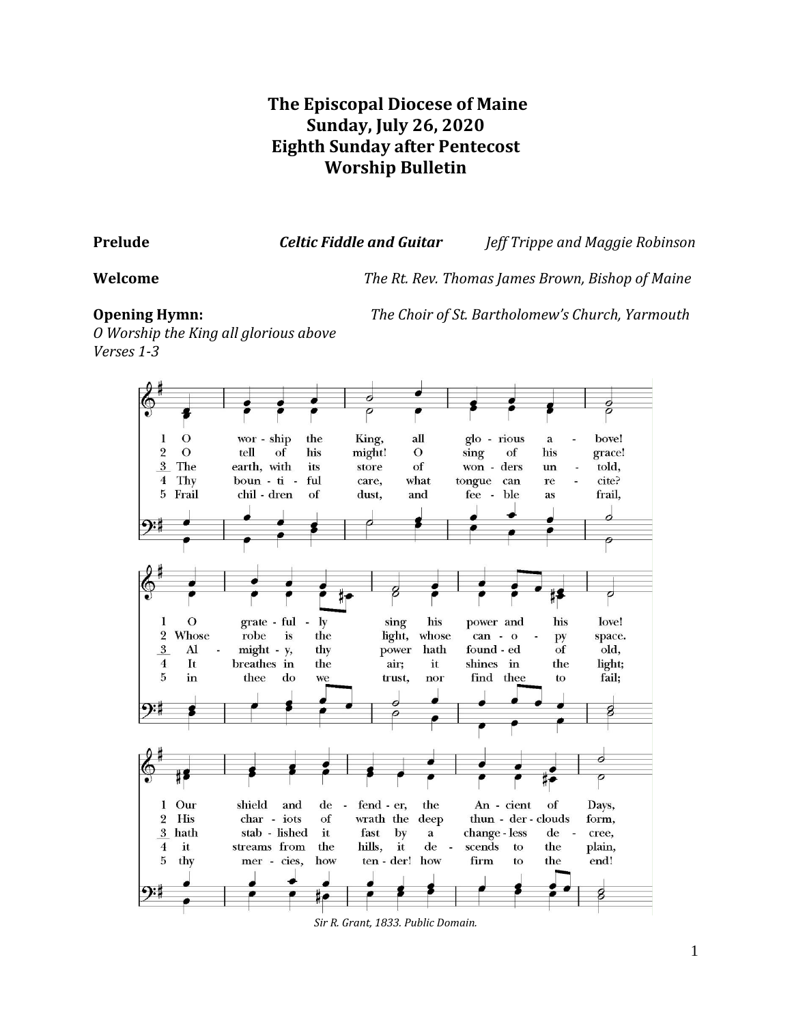# **The Episcopal Diocese of Maine Sunday, July 26, 2020 Eighth Sunday after Pentecost Worship Bulletin**

**Prelude** *Celtic Fiddle and Guitar Jeff Trippe and Maggie Robinson*

**Welcome** *The Rt. Rev. Thomas James Brown, Bishop of Maine*

**Opening Hymn:** *The Choir of St. Bartholomew's Church, Yarmouth*

*O Worship the King all glorious above Verses 1-3* 



*Sir R. Grant, 1833. Public Domain.*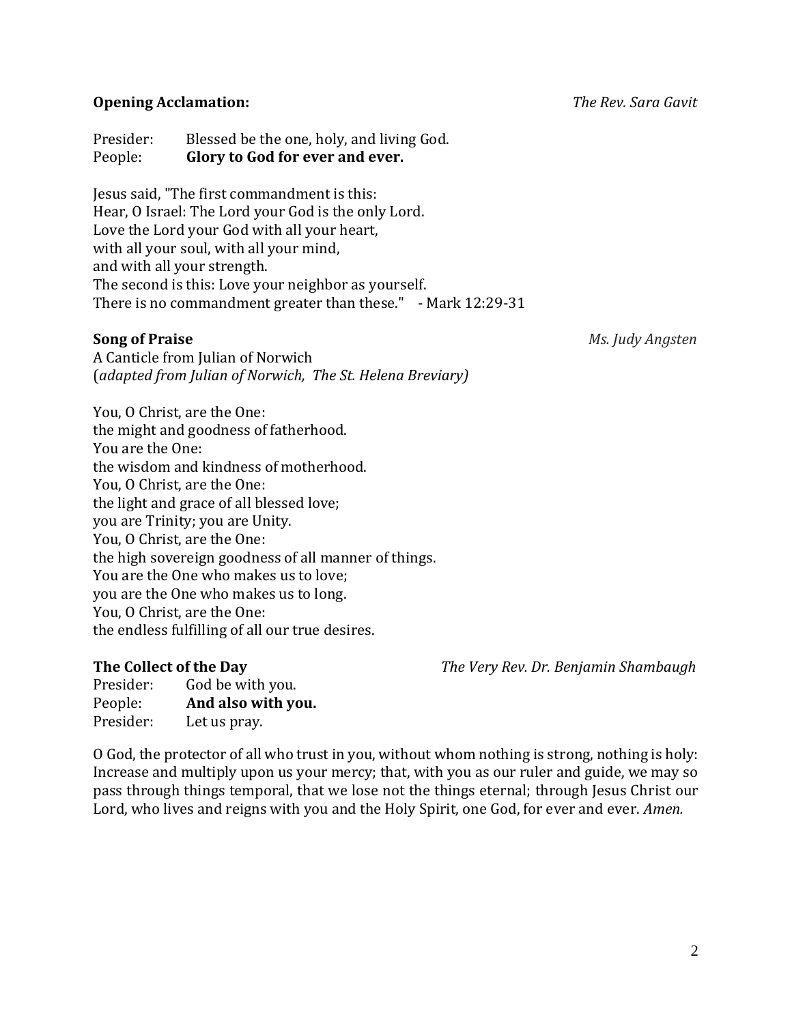### **Opening Acclamation:** *The Rev. Sara Gavit*

Presider: Blessed be the one, holy, and living God. People: **Glory to God for ever and ever.** 

Jesus said, "The first commandment is this: Hear, O Israel: The Lord your God is the only Lord. Love the Lord your God with all your heart, with all your soul, with all your mind, and with all your strength. The second is this: Love your neighbor as yourself. There is no commandment greater than these." - Mark 12:29-31

### **Song of Praise** *Ms. Judy Angsten*

A Canticle from Julian of Norwich (*adapted from Julian of Norwich, The St. Helena Breviary)* 

You, O Christ, are the One: the might and goodness of fatherhood. You are the One: the wisdom and kindness of motherhood. You, O Christ, are the One: the light and grace of all blessed love; you are Trinity; you are Unity. You, O Christ, are the One: the high sovereign goodness of all manner of things. You are the One who makes us to love; you are the One who makes us to long. You, O Christ, are the One: the endless fulfilling of all our true desires.

### **The Collect of the Day** *The Very Rev. Dr. Benjamin Shambaugh*

Presider: God be with you. People: **And also with you.**  Presider: Let us pray.

O God, the protector of all who trust in you, without whom nothing is strong, nothing is holy: Increase and multiply upon us your mercy; that, with you as our ruler and guide, we may so pass through things temporal, that we lose not the things eternal; through Jesus Christ our Lord, who lives and reigns with you and the Holy Spirit, one God, for ever and ever. *Amen.*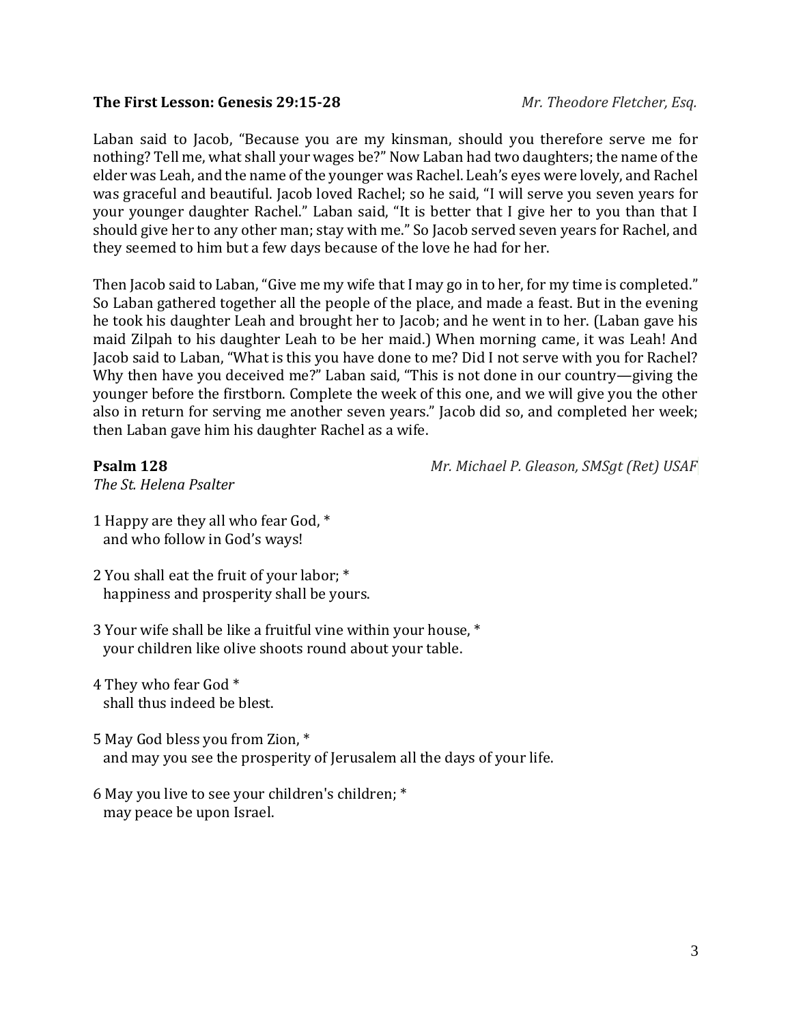### **The First Lesson: Genesis 29:15-28** *Mr. Theodore Fletcher, Esq.*

Laban said to Jacob, "Because you are my kinsman, should you therefore serve me for nothing? Tell me, what shall your wages be?" Now Laban had two daughters; the name of the elder was Leah, and the name of the younger was Rachel. Leah's eyes were lovely, and Rachel was graceful and beautiful. Jacob loved Rachel; so he said, "I will serve you seven years for your younger daughter Rachel." Laban said, "It is better that I give her to you than that I should give her to any other man; stay with me." So Jacob served seven years for Rachel, and they seemed to him but a few days because of the love he had for her.

Then Jacob said to Laban, "Give me my wife that I may go in to her, for my time is completed." So Laban gathered together all the people of the place, and made a feast. But in the evening he took his daughter Leah and brought her to Jacob; and he went in to her. (Laban gave his maid Zilpah to his daughter Leah to be her maid.) When morning came, it was Leah! And Jacob said to Laban, "What is this you have done to me? Did I not serve with you for Rachel? Why then have you deceived me?" Laban said, "This is not done in our country—giving the younger before the firstborn. Complete the week of this one, and we will give you the other also in return for serving me another seven years." Jacob did so, and completed her week; then Laban gave him his daughter Rachel as a wife.

**Psalm 128** *Mr. Michael P. Gleason, SMSgt (Ret) USAF*

*The St. Helena Psalter*

- 1 Happy are they all who fear God, \* and who follow in God's ways!
- 2 You shall eat the fruit of your labor; \* happiness and prosperity shall be yours.
- 3 Your wife shall be like a fruitful vine within your house, \* your children like olive shoots round about your table.
- 4 They who fear God \* shall thus indeed be blest.
- 5 May God bless you from Zion, \* and may you see the prosperity of Jerusalem all the days of your life.
- 6 May you live to see your children's children; \* may peace be upon Israel.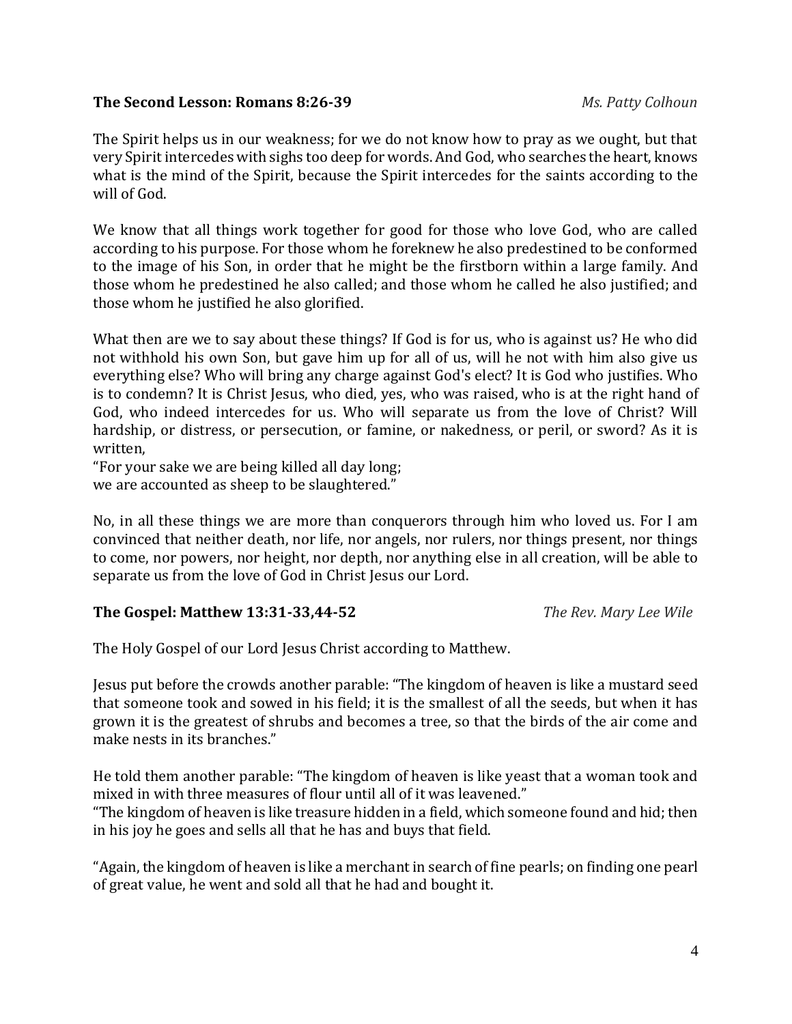## **The Second Lesson: Romans 8:26-39** *Ms. Patty Colhoun*

The Spirit helps us in our weakness; for we do not know how to pray as we ought, but that very Spirit intercedes with sighs too deep for words. And God, who searches the heart, knows what is the mind of the Spirit, because the Spirit intercedes for the saints according to the will of God.

We know that all things work together for good for those who love God, who are called according to his purpose. For those whom he foreknew he also predestined to be conformed to the image of his Son, in order that he might be the firstborn within a large family. And those whom he predestined he also called; and those whom he called he also justified; and those whom he justified he also glorified.

What then are we to say about these things? If God is for us, who is against us? He who did not withhold his own Son, but gave him up for all of us, will he not with him also give us everything else? Who will bring any charge against God's elect? It is God who justifies. Who is to condemn? It is Christ Jesus, who died, yes, who was raised, who is at the right hand of God, who indeed intercedes for us. Who will separate us from the love of Christ? Will hardship, or distress, or persecution, or famine, or nakedness, or peril, or sword? As it is written,

"For your sake we are being killed all day long; we are accounted as sheep to be slaughtered."

No, in all these things we are more than conquerors through him who loved us. For I am convinced that neither death, nor life, nor angels, nor rulers, nor things present, nor things to come, nor powers, nor height, nor depth, nor anything else in all creation, will be able to separate us from the love of God in Christ Jesus our Lord.

## **The Gospel: Matthew 13:31-33,44-52** *The Rev. Mary Lee Wile*

The Holy Gospel of our Lord Jesus Christ according to Matthew.

Jesus put before the crowds another parable: "The kingdom of heaven is like a mustard seed that someone took and sowed in his field; it is the smallest of all the seeds, but when it has grown it is the greatest of shrubs and becomes a tree, so that the birds of the air come and make nests in its branches."

He told them another parable: "The kingdom of heaven is like yeast that a woman took and mixed in with three measures of flour until all of it was leavened."

"The kingdom of heaven is like treasure hidden in a field, which someone found and hid; then in his joy he goes and sells all that he has and buys that field.

"Again, the kingdom of heaven is like a merchant in search of fine pearls; on finding one pearl of great value, he went and sold all that he had and bought it.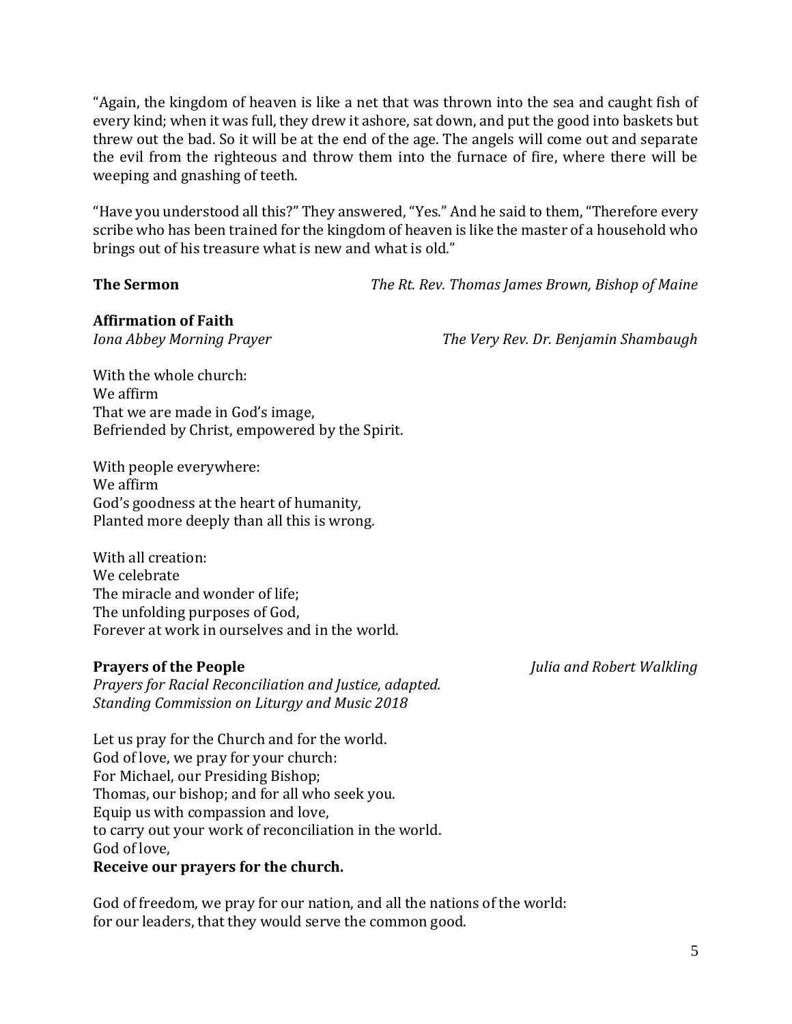"Again, the kingdom of heaven is like a net that was thrown into the sea and caught fish of every kind; when it was full, they drew it ashore, sat down, and put the good into baskets but threw out the bad. So it will be at the end of the age. The angels will come out and separate the evil from the righteous and throw them into the furnace of fire, where there will be weeping and gnashing of teeth.

"Have you understood all this?" They answered, "Yes." And he said to them, "Therefore every scribe who has been trained for the kingdom of heaven is like the master of a household who brings out of his treasure what is new and what is old."

**The Sermon** *The Rt. Rev. Thomas James Brown, Bishop of Maine*

### **Affirmation of Faith**

*Iona Abbey Morning Prayer**The Very Rev. Dr. Benjamin Shambaugh*

With the whole church: We affirm That we are made in God's image, Befriended by Christ, empowered by the Spirit.

With people everywhere: We affirm God's goodness at the heart of humanity, Planted more deeply than all this is wrong.

With all creation: We celebrate The miracle and wonder of life; The unfolding purposes of God, Forever at work in ourselves and in the world.

*Prayers for Racial Reconciliation and Justice, adapted. Standing Commission on Liturgy and Music 2018*

**Prayers of the People** *Julia and Robert Walkling*

Let us pray for the Church and for the world. God of love, we pray for your church: For Michael, our Presiding Bishop; Thomas, our bishop; and for all who seek you. Equip us with compassion and love, to carry out your work of reconciliation in the world. God of love, **Receive our prayers for the church.** 

God of freedom, we pray for our nation, and all the nations of the world: for our leaders, that they would serve the common good.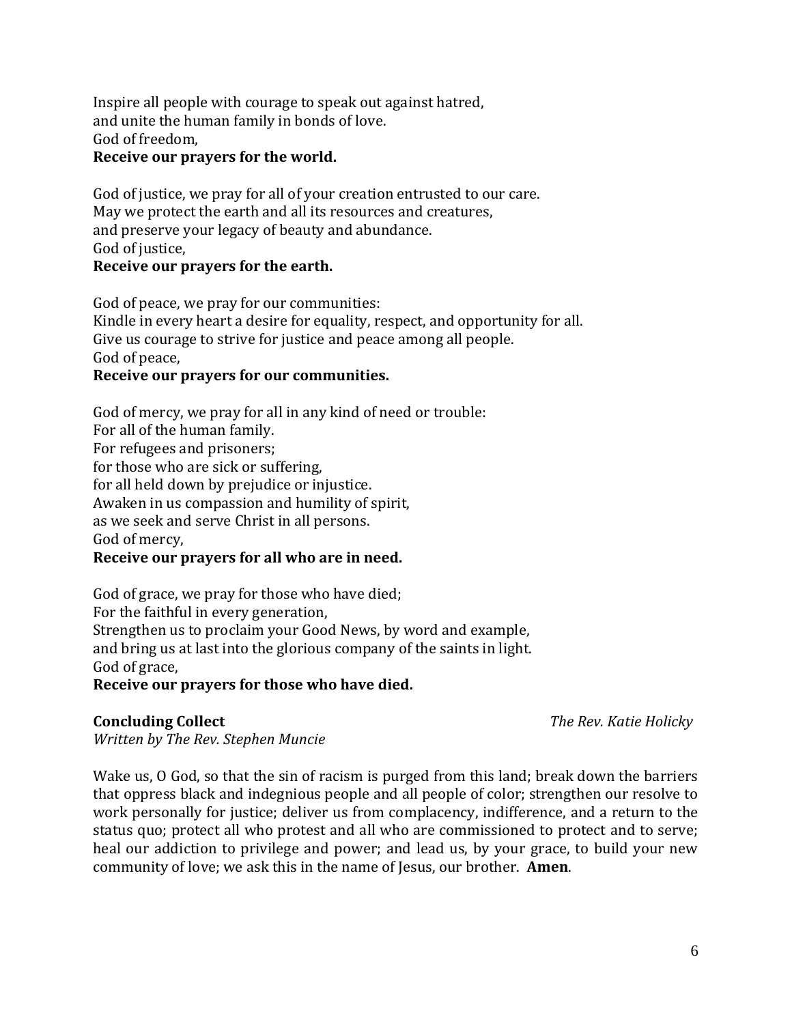Inspire all people with courage to speak out against hatred, and unite the human family in bonds of love. God of freedom,

## **Receive our prayers for the world.**

God of justice, we pray for all of your creation entrusted to our care. May we protect the earth and all its resources and creatures, and preserve your legacy of beauty and abundance. God of justice,

## **Receive our prayers for the earth.**

God of peace, we pray for our communities: Kindle in every heart a desire for equality, respect, and opportunity for all. Give us courage to strive for justice and peace among all people. God of peace,

### **Receive our prayers for our communities.**

God of mercy, we pray for all in any kind of need or trouble: For all of the human family. For refugees and prisoners; for those who are sick or suffering, for all held down by prejudice or injustice. Awaken in us compassion and humility of spirit, as we seek and serve Christ in all persons. God of mercy, **Receive our prayers for all who are in need.**

God of grace, we pray for those who have died; For the faithful in every generation, Strengthen us to proclaim your Good News, by word and example, and bring us at last into the glorious company of the saints in light. God of grace,

## **Receive our prayers for those who have died.**

**Concluding Collect** *The Rev. Katie Holicky*

*Written by The Rev. Stephen Muncie*

Wake us, O God, so that the sin of racism is purged from this land; break down the barriers that oppress black and indegnious people and all people of color; strengthen our resolve to work personally for justice; deliver us from complacency, indifference, and a return to the status quo; protect all who protest and all who are commissioned to protect and to serve; heal our addiction to privilege and power; and lead us, by your grace, to build your new community of love; we ask this in the name of Jesus, our brother. **Amen**.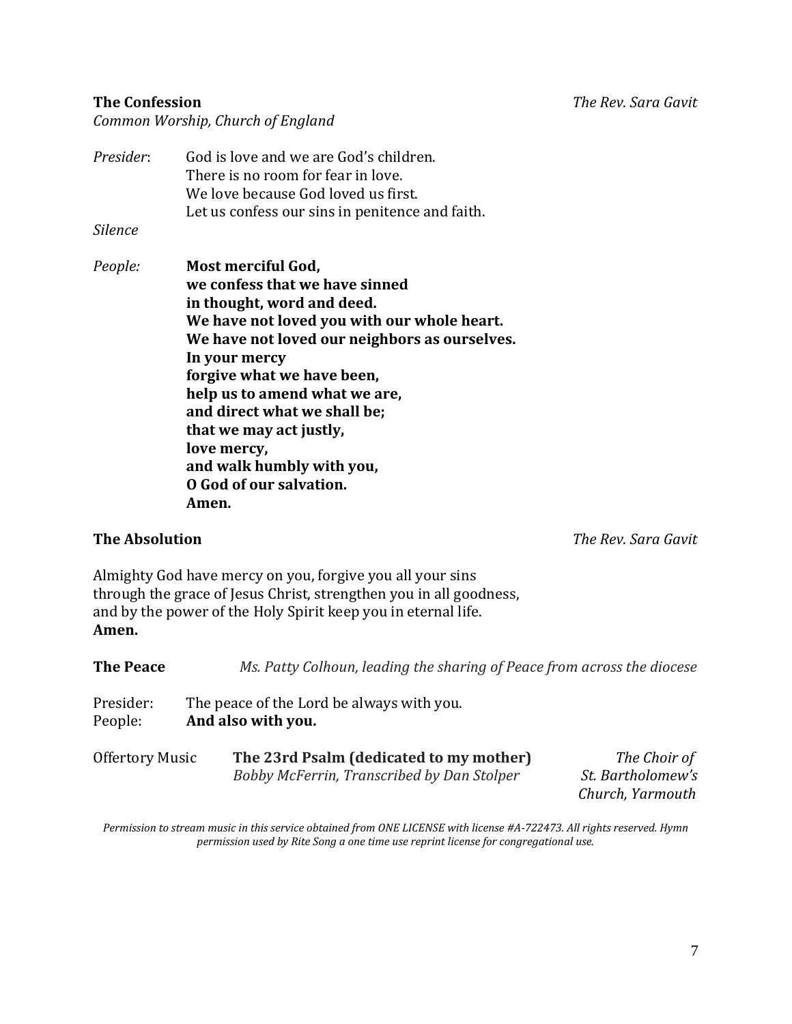*Common Worship, Church of England*

| Presider:      | God is love and we are God's children.<br>There is no room for fear in love.<br>We love because God loved us first. |  |  |
|----------------|---------------------------------------------------------------------------------------------------------------------|--|--|
| <b>Silence</b> | Let us confess our sins in penitence and faith.                                                                     |  |  |
|                |                                                                                                                     |  |  |
| People:        | <b>Most merciful God,</b>                                                                                           |  |  |
|                | we confess that we have sinned                                                                                      |  |  |
|                | in thought, word and deed.                                                                                          |  |  |
|                | We have not loved you with our whole heart.                                                                         |  |  |
|                | We have not loved our neighbors as ourselves.                                                                       |  |  |
|                | In your mercy                                                                                                       |  |  |
|                | forgive what we have been,                                                                                          |  |  |
|                | help us to amend what we are,                                                                                       |  |  |
|                | and direct what we shall be;                                                                                        |  |  |
|                | that we may act justly,                                                                                             |  |  |
|                | love mercy,                                                                                                         |  |  |
|                | and walk humbly with you,                                                                                           |  |  |
|                | <b>O</b> God of our salvation.                                                                                      |  |  |
|                | Amen.                                                                                                               |  |  |

**The Absolution** *The Rev. Sara Gavit*

Almighty God have mercy on you, forgive you all your sins through the grace of Jesus Christ, strengthen you in all goodness, and by the power of the Holy Spirit keep you in eternal life. **Amen.** 

| <b>The Peace</b>     | Ms. Patty Colhoun, leading the sharing of Peace from across the diocese                                                                        |  |
|----------------------|------------------------------------------------------------------------------------------------------------------------------------------------|--|
| Presider:<br>People: | The peace of the Lord be always with you.<br>And also with you.                                                                                |  |
| Offertory Music      | The 23rd Psalm (dedicated to my mother)<br>The Choir of<br>Bobby McFerrin, Transcribed by Dan Stolper<br>St. Bartholomew's<br>Church, Yarmouth |  |

*Permission to stream music in this service obtained from ONE LICENSE with license #A-722473. All rights reserved. Hymn permission used by Rite Song a one time use reprint license for congregational use.*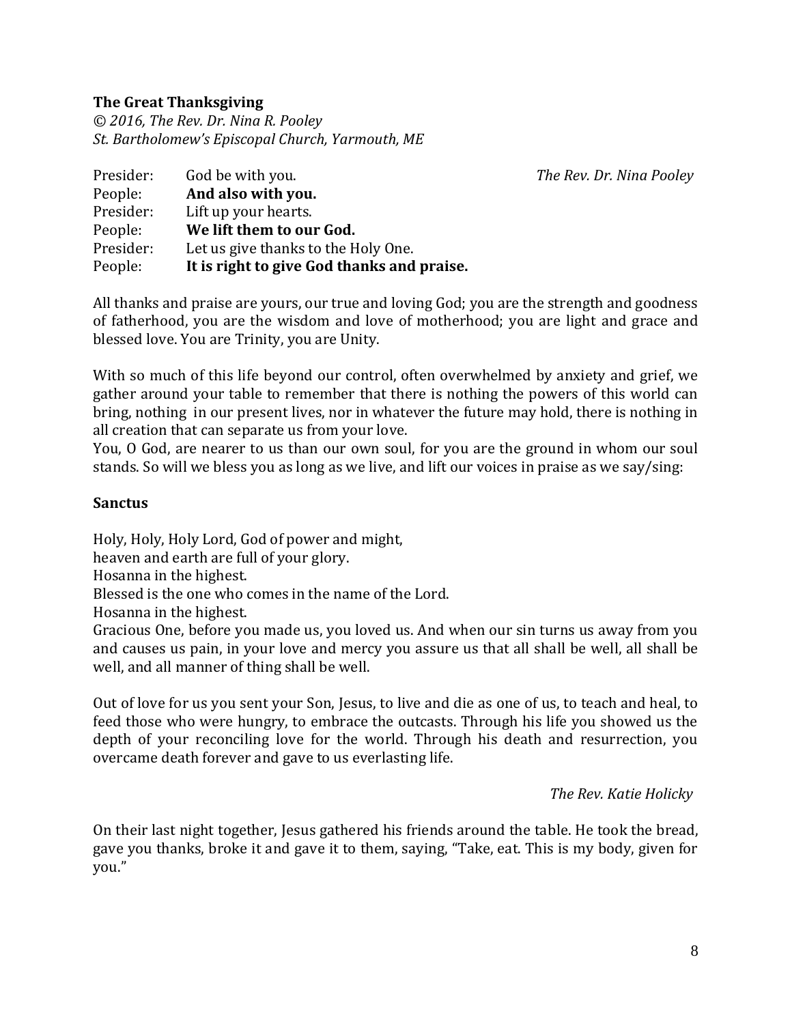## **The Great Thanksgiving**

*© 2016, The Rev. Dr. Nina R. Pooley St. Bartholomew's Episcopal Church, Yarmouth, ME* 

| Presider: | God be with you.                           | The Rev. Dr. Nina Pooley |
|-----------|--------------------------------------------|--------------------------|
| People:   | And also with you.                         |                          |
| Presider: | Lift up your hearts.                       |                          |
| People:   | We lift them to our God.                   |                          |
| Presider: | Let us give thanks to the Holy One.        |                          |
| People:   | It is right to give God thanks and praise. |                          |

All thanks and praise are yours, our true and loving God; you are the strength and goodness of fatherhood, you are the wisdom and love of motherhood; you are light and grace and blessed love. You are Trinity, you are Unity.

With so much of this life beyond our control, often overwhelmed by anxiety and grief, we gather around your table to remember that there is nothing the powers of this world can bring, nothing in our present lives, nor in whatever the future may hold, there is nothing in all creation that can separate us from your love.

You, O God, are nearer to us than our own soul, for you are the ground in whom our soul stands. So will we bless you as long as we live, and lift our voices in praise as we say/sing:

### **Sanctus**

Holy, Holy, Holy Lord, God of power and might, heaven and earth are full of your glory. Hosanna in the highest. Blessed is the one who comes in the name of the Lord. Hosanna in the highest. Gracious One, before you made us, you loved us. And when our sin turns us away from you and causes us pain, in your love and mercy you assure us that all shall be well, all shall be well, and all manner of thing shall be well.

Out of love for us you sent your Son, Jesus, to live and die as one of us, to teach and heal, to feed those who were hungry, to embrace the outcasts. Through his life you showed us the depth of your reconciling love for the world. Through his death and resurrection, you overcame death forever and gave to us everlasting life.

*The Rev. Katie Holicky*

On their last night together, Jesus gathered his friends around the table. He took the bread, gave you thanks, broke it and gave it to them, saying, "Take, eat. This is my body, given for you."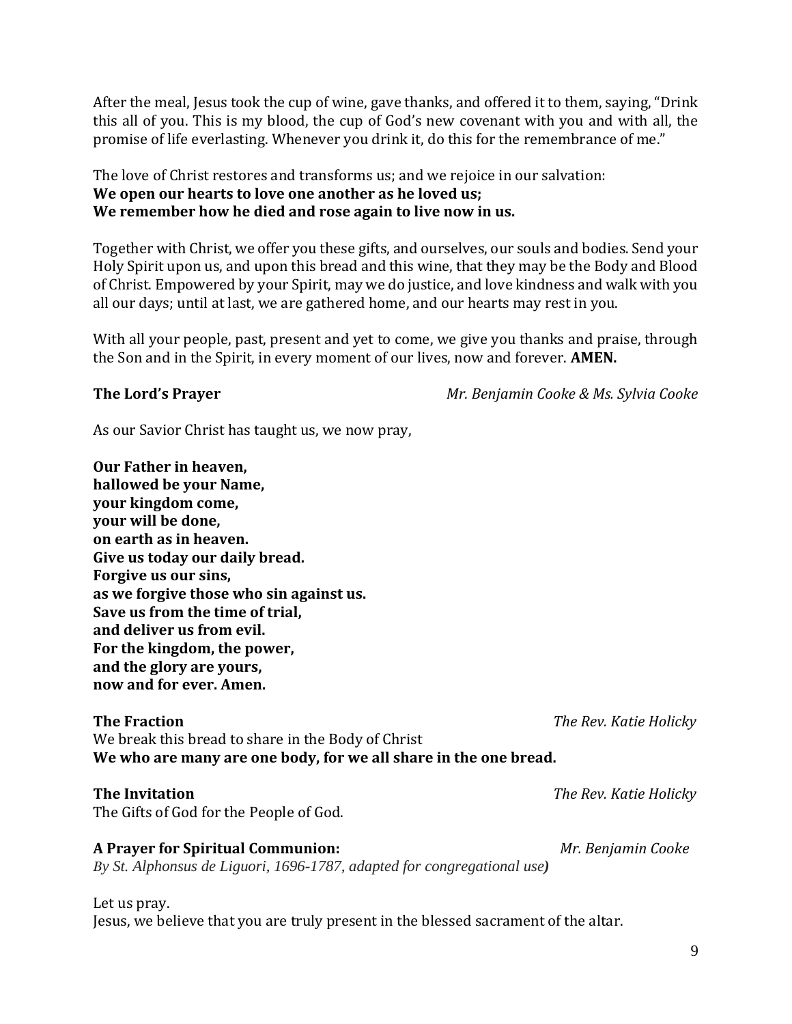After the meal, Jesus took the cup of wine, gave thanks, and offered it to them, saying, "Drink this all of you. This is my blood, the cup of God's new covenant with you and with all, the promise of life everlasting. Whenever you drink it, do this for the remembrance of me."

The love of Christ restores and transforms us; and we rejoice in our salvation: **We open our hearts to love one another as he loved us; We remember how he died and rose again to live now in us.**

Together with Christ, we offer you these gifts, and ourselves, our souls and bodies. Send your Holy Spirit upon us, and upon this bread and this wine, that they may be the Body and Blood of Christ. Empowered by your Spirit, may we do justice, and love kindness and walk with you all our days; until at last, we are gathered home, and our hearts may rest in you.

With all your people, past, present and yet to come, we give you thanks and praise, through the Son and in the Spirit, in every moment of our lives, now and forever. **AMEN.**

**The Lord's Prayer** *Mr. Benjamin Cooke & Ms. Sylvia Cooke*

As our Savior Christ has taught us, we now pray,

**Our Father in heaven, hallowed be your Name, your kingdom come, your will be done, on earth as in heaven. Give us today our daily bread. Forgive us our sins, as we forgive those who sin against us. Save us from the time of trial, and deliver us from evil. For the kingdom, the power, and the glory are yours, now and for ever. Amen.**

**The Fraction** *The Rev. Katie Holicky* We break this bread to share in the Body of Christ **We who are many are one body, for we all share in the one bread.**

### **The Invitation** *The Rev. Katie Holicky*

The Gifts of God for the People of God.

## **A Prayer for Spiritual Communion:** *Mr. Benjamin Cooke*

*By St. Alphonsus de Liguori, 1696-1787, adapted for congregational use)*

Let us pray.

Jesus, we believe that you are truly present in the blessed sacrament of the altar.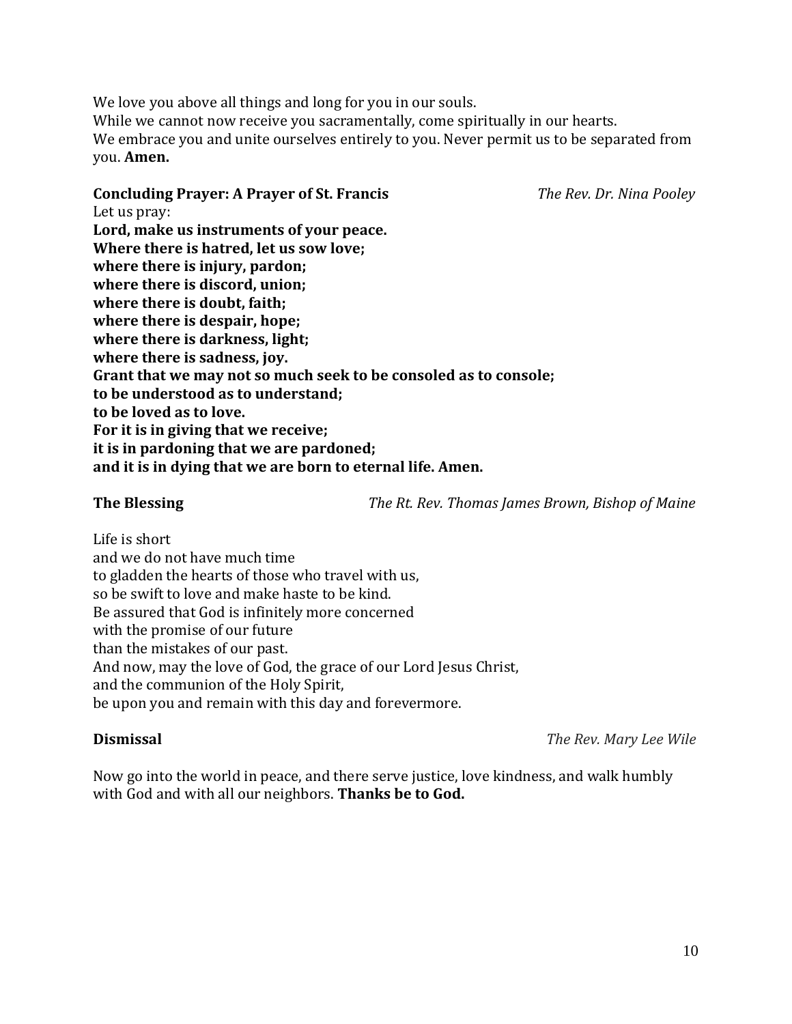We love you above all things and long for you in our souls. While we cannot now receive you sacramentally, come spiritually in our hearts. We embrace you and unite ourselves entirely to you. Never permit us to be separated from you. **Amen.**

**Concluding Prayer: A Prayer of St. Francis** *The Rev. Dr. Nina Pooley* Let us pray: **Lord, make us instruments of your peace. Where there is hatred, let us sow love; where there is injury, pardon; where there is discord, union; where there is doubt, faith; where there is despair, hope; where there is darkness, light; where there is sadness, joy. Grant that we may not so much seek to be consoled as to console; to be understood as to understand; to be loved as to love. For it is in giving that we receive; it is in pardoning that we are pardoned; and it is in dying that we are born to eternal life. Amen.** 

**The Blessing** *The Rt. Rev. Thomas James Brown, Bishop of Maine*

Life is short and we do not have much time to gladden the hearts of those who travel with us, so be swift to love and make haste to be kind. Be assured that God is infinitely more concerned with the promise of our future than the mistakes of our past. And now, may the love of God, the grace of our Lord Jesus Christ, and the communion of the Holy Spirit, be upon you and remain with this day and forevermore.

**Dismissal** *The Rev. Mary Lee Wile*

Now go into the world in peace, and there serve justice, love kindness, and walk humbly with God and with all our neighbors. **Thanks be to God.**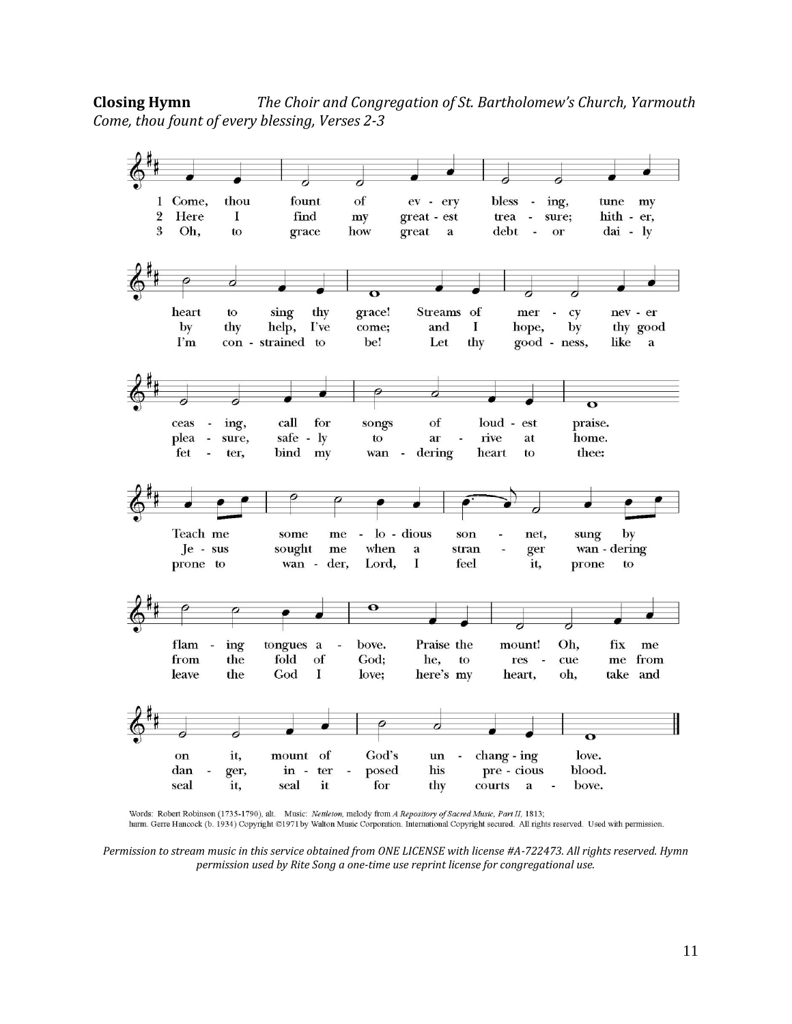**Closing Hymn** *The Choir and Congregation of St. Bartholomew's Church, Yarmouth Come, thou fount of every blessing, Verses 2-3* 



Words: Robert Robinson (1735-1790), alt. Music: Nettleton, melody from A Repository of Sacred Music, Part II, 1813;<br>harm. Gerre Hancock (b. 1934) Copyright ©1971 by Walton Music Corporation. International Copyright secured

*Permission to stream music in this service obtained from ONE LICENSE with license #A-722473. All rights reserved. Hymn permission used by Rite Song a one-time use reprint license for congregational use.*